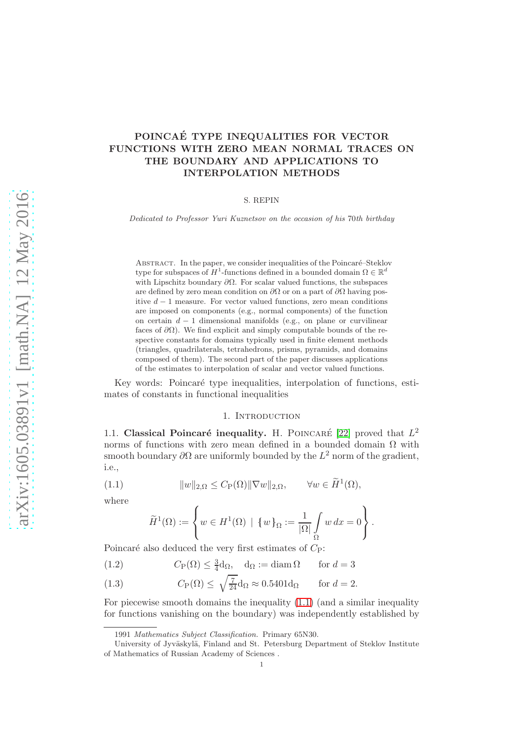## POINCAÉ TYPE INEQUALITIES FOR VECTOR FUNCTIONS WITH ZERO MEAN NORMAL TRACES ON THE BOUNDARY AND APPLICATIONS TO INTERPOLATION METHODS

#### S. REPIN

Dedicated to Professor Yuri Kuznetsov on the occasion of his 70th birthday

ABSTRACT. In the paper, we consider inequalities of the Poincaré–Steklov type for subspaces of  $H^1$ -functions defined in a bounded domain  $\Omega \in \mathbb{R}^d$ with Lipschitz boundary  $\partial\Omega$ . For scalar valued functions, the subspaces are defined by zero mean condition on  $\partial\Omega$  or on a part of  $\partial\Omega$  having positive  $d-1$  measure. For vector valued functions, zero mean conditions are imposed on components (e.g., normal components) of the function on certain  $d-1$  dimensional manifolds (e.g., on plane or curvilinear faces of  $\partial\Omega$ ). We find explicit and simply computable bounds of the respective constants for domains typically used in finite element methods (triangles, quadrilaterals, tetrahedrons, prisms, pyramids, and domains composed of them). The second part of the paper discusses applications of the estimates to interpolation of scalar and vector valued functions.

Key words: Poincaré type inequalities, interpolation of functions, estimates of constants in functional inequalities

#### 1. INTRODUCTION

1.1. Classical Poincaré inequality. H. POINCARÉ [\[22\]](#page-17-0) proved that  $L^2$ norms of functions with zero mean defined in a bounded domain  $\Omega$  with smooth boundary  $\partial\Omega$  are uniformly bounded by the  $L^2$  norm of the gradient, i.e.,

(1.1) 
$$
||w||_{2,\Omega} \leq C_{\mathcal{P}}(\Omega) ||\nabla w||_{2,\Omega}, \qquad \forall w \in \widetilde{H}^{1}(\Omega),
$$

where

<span id="page-0-1"></span><span id="page-0-0"></span>
$$
\widetilde{H}^1(\Omega):=\left\{w\in H^1(\Omega)\,\mid\,\{w\}_{\Omega}:=\frac{1}{|\Omega|}\int\limits_{\Omega}w\,dx=0\right\}.
$$

Poincaré also deduced the very first estimates of  $C_P$ :

(1.2) 
$$
C_{\text{P}}(\Omega) \le \frac{3}{4}d_{\Omega}, \quad d_{\Omega} := \text{diam}\,\Omega \quad \text{for } d = 3
$$

(1.3) 
$$
C_{\mathcal{P}}(\Omega) \le \sqrt{\frac{7}{24}} d_{\Omega} \approx 0.5401 d_{\Omega} \quad \text{for } d = 2.
$$

For piecewise smooth domains the inequality [\(1.1\)](#page-0-0) (and a similar inequality for functions vanishing on the boundary) was independently established by

<sup>1991</sup> Mathematics Subject Classification. Primary 65N30.

University of Jyväskylä, Finland and St. Petersburg Department of Steklov Institute of Mathematics of Russian Academy of Sciences .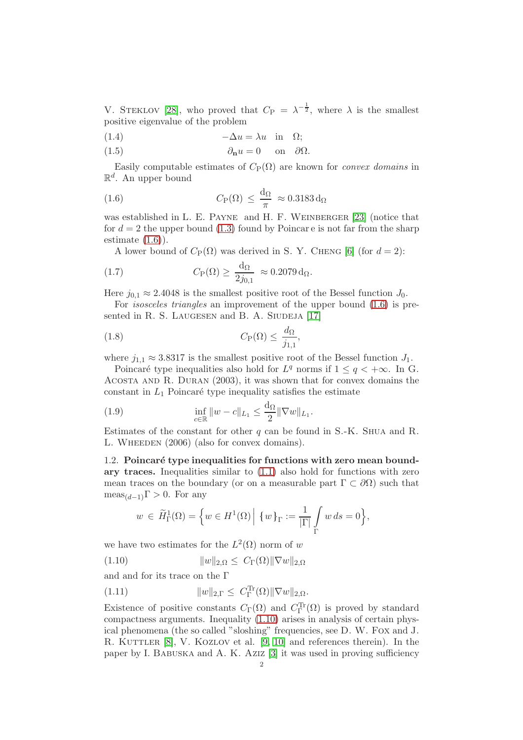V. STEKLOV [\[28\]](#page-17-1), who proved that  $C_{\rm P} = \lambda^{-\frac{1}{2}}$ , where  $\lambda$  is the smallest positive eigenvalue of the problem

(1.4) 
$$
-\Delta u = \lambda u \quad \text{in} \quad \Omega;
$$

(1.5) 
$$
\partial_{\mathbf{n}} u = 0 \quad \text{on} \quad \partial \Omega.
$$

Easily computable estimates of  $C_{\rm P}(\Omega)$  are known for *convex domains* in  $\mathbb{R}^d$ . An upper bound

<span id="page-1-0"></span>(1.6) 
$$
C_{P}(\Omega) \leq \frac{d_{\Omega}}{\pi} \approx 0.3183 d_{\Omega}
$$

was established in L. E. PAYNE and H. F. WEINBERGER [\[23\]](#page-17-2) (notice that for  $d = 2$  the upper bound [\(1.3\)](#page-0-1) found by Poincar e is not far from the sharp estimate  $(1.6)$ .

<span id="page-1-3"></span>A lower bound of  $C_{\rm P}(\Omega)$  was derived in S. Y. CHENG [\[6\]](#page-16-0) (for  $d=2$ ):

(1.7) 
$$
C_{\mathcal{P}}(\Omega) \geq \frac{d_{\Omega}}{2j_{0,1}} \approx 0.2079 d_{\Omega}.
$$

Here  $j_{0,1} \approx 2.4048$  is the smallest positive root of the Bessel function  $J_0$ .

For isosceles triangles an improvement of the upper bound [\(1.6\)](#page-1-0) is pre-sented in R. S. LAUGESEN and B. A. SIUDEJA [\[17\]](#page-16-1)

(1.8) 
$$
C_{\mathcal{P}}(\Omega) \leq \frac{d_{\Omega}}{j_{1,1}},
$$

where  $j_{1,1} \approx 3.8317$  is the smallest positive root of the Bessel function  $J_1$ .

Poincaré type inequalities also hold for  $L^q$  norms if  $1 \le q < +\infty$ . In G. Acosta and R. Duran (2003), it was shown that for convex domains the constant in  $L_1$  Poincaré type inequality satisfies the estimate

<span id="page-1-4"></span>(1.9) 
$$
\inf_{c \in \mathbb{R}} \|w - c\|_{L_1} \le \frac{d_{\Omega}}{2} \|\nabla w\|_{L_1}.
$$

Estimates of the constant for other q can be found in  $S.-K$ . Shua and R. L. WHEEDEN (2006) (also for convex domains).

## 1.2. Poincaré type inequalities for functions with zero mean boundary traces. Inequalities similar to  $(1.1)$  also hold for functions with zero mean traces on the boundary (or on a measurable part  $\Gamma \subset \partial\Omega$ ) such that  $meas_{(d-1)}\Gamma > 0$ . For any

<span id="page-1-1"></span>
$$
w \in \widetilde{H}_{\Gamma}^1(\Omega) = \left\{ w \in H^1(\Omega) \mid \{w\}_{\Gamma} := \frac{1}{|\Gamma|} \int_{\Gamma} w \, ds = 0 \right\},\
$$

we have two estimates for the  $L^2(\Omega)$  norm of w

$$
(1.10) \t\t\t ||w||_{2,\Omega} \leq C_{\Gamma}(\Omega) ||\nabla w||_{2,\Omega}
$$

and and for its trace on the Γ

<span id="page-1-2"></span>(1.11) 
$$
||w||_{2,\Gamma} \leq C_{\Gamma}^{\text{Tr}}(\Omega) ||\nabla w||_{2,\Omega}.
$$

Existence of positive constants  $C_{\Gamma}(\Omega)$  and  $C_{\Gamma}^{\text{Tr}}(\Omega)$  is proved by standard compactness arguments. Inequality [\(1.10\)](#page-1-1) arises in analysis of certain physical phenomena (the so called "sloshing" frequencies, see D. W. Fox and J. R. KUTTLER [\[8\]](#page-16-2), V. KOZLOV et al. [\[9,](#page-16-3) [10\]](#page-16-4) and references therein). In the paper by I. Babuska and A. K. Aziz [\[3\]](#page-16-5) it was used in proving sufficiency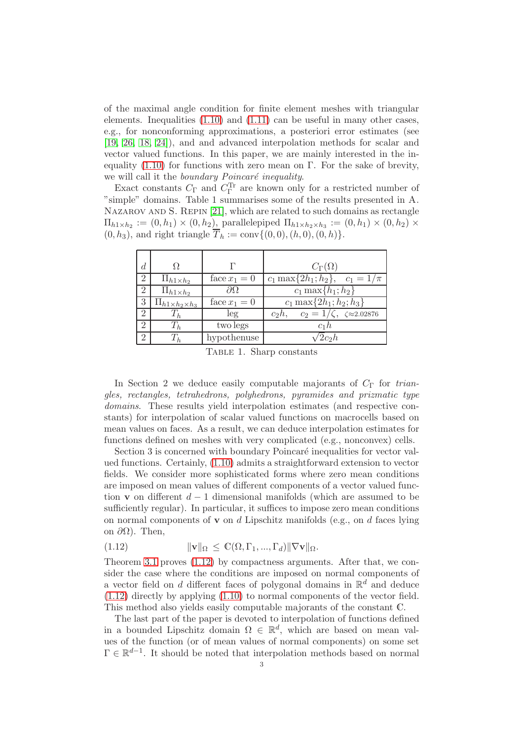of the maximal angle condition for finite element meshes with triangular elements. Inequalities  $(1.10)$  and  $(1.11)$  can be useful in many other cases, e.g., for nonconforming approximations, a posteriori error estimates (see [\[19,](#page-17-3) [26,](#page-17-4) [18,](#page-16-6) [24\]](#page-17-5)), and and advanced interpolation methods for scalar and vector valued functions. In this paper, we are mainly interested in the inequality  $(1.10)$  for functions with zero mean on Γ. For the sake of brevity, we will call it the boundary Poincaré inequality.

Exact constants  $C_{\Gamma}$  and  $C_{\Gamma}^{\text{Tr}}$  are known only for a restricted number of "simple" domains. Table 1 summarises some of the results presented in A. NAZAROV AND S. REPIN [\[21\]](#page-17-6), which are related to such domains as rectangle  $\Pi_{h1\times h_2}:=(0,h_1)\times (0,h_2)$ , parallelepiped  $\Pi_{h1\times h_2\times h_3}:=(0,h_1)\times (0,h_2)\times$  $(0, h_3)$ , and right triangle  $\overline{T}_h := \text{conv}\{(0, 0), (h, 0), (0, h)\}.$ 

| $\overline{d}$              |                                |                  | $C_{\Gamma}(\Omega)$                                  |
|-----------------------------|--------------------------------|------------------|-------------------------------------------------------|
| 2                           | $\Pi_{h1\times h_2}$           | face $x_1 = 0$   | $c_1 \max\{2h_1; h_2\}, c_1 = 1/\pi$                  |
| $\overline{2}$              | $\Pi_{h1\times h_2}$           | $\partial\Omega$ | $c_1 \max\{h_1; h_2\}$                                |
| 3                           | $\Pi_{h1\times h_2\times h_3}$ | face $x_1 = 0$   | $c_1 \max\{2h_1; h_2; h_3\}$                          |
| $\overline{2}$              | $\perp_h$                      | leg              | $c_2 = 1/\zeta$ , $\zeta \approx 2.02876$<br>$c_2h$ , |
| 2                           | $T_h$                          | two legs         | $c_1h$                                                |
| $\mathcal{D}_{\mathcal{L}}$ | $T_h$                          | hypothenuse      | $2c_2h$                                               |

Table 1. Sharp constants

In Section 2 we deduce easily computable majorants of  $C_{\Gamma}$  for triangles, rectangles, tetrahedrons, polyhedrons, pyramides and prizmatic type domains. These results yield interpolation estimates (and respective constants) for interpolation of scalar valued functions on macrocells based on mean values on faces. As a result, we can deduce interpolation estimates for functions defined on meshes with very complicated (e.g., nonconvex) cells.

Section 3 is concerned with boundary Poincaré inequalities for vector valued functions. Certainly, [\(1.10\)](#page-1-1) admits a straightforward extension to vector fields. We consider more sophisticated forms where zero mean conditions are imposed on mean values of different components of a vector valued function v on different  $d-1$  dimensional manifolds (which are assumed to be sufficiently regular). In particular, it suffices to impose zero mean conditions on normal components of **v** on d Lipschitz manifolds (e.g., on d faces lying on  $\partial$ Ω). Then,

<span id="page-2-0"></span>(1.12) 
$$
\|\mathbf{v}\|_{\Omega} \leq \mathbb{C}(\Omega, \Gamma_1, ..., \Gamma_d) \|\nabla \mathbf{v}\|_{\Omega}.
$$

Theorem [3.1](#page-7-0) proves [\(1.12\)](#page-2-0) by compactness arguments. After that, we consider the case where the conditions are imposed on normal components of a vector field on  $d$  different faces of polygonal domains in  $\mathbb{R}^d$  and deduce [\(1.12\)](#page-2-0) directly by applying [\(1.10\)](#page-1-1) to normal components of the vector field. This method also yields easily computable majorants of the constant C.

The last part of the paper is devoted to interpolation of functions defined in a bounded Lipschitz domain  $\Omega \in \mathbb{R}^d$ , which are based on mean values of the function (or of mean values of normal components) on some set  $\Gamma \in \mathbb{R}^{d-1}$ . It should be noted that interpolation methods based on normal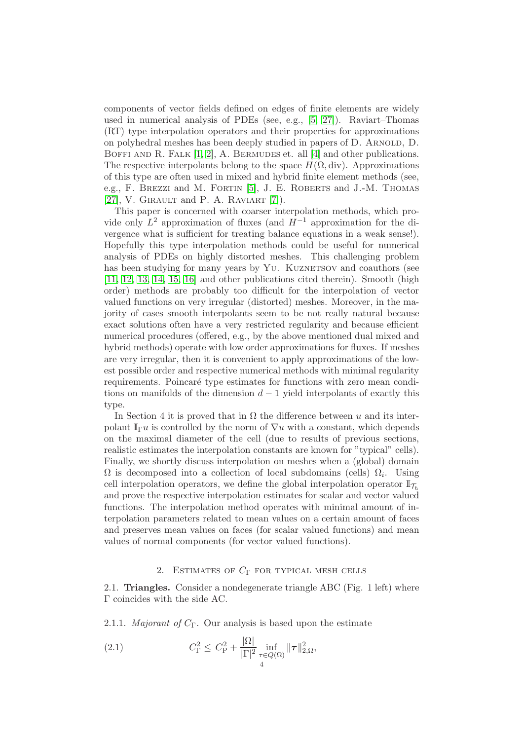components of vector fields defined on edges of finite elements are widely used in numerical analysis of PDEs (see, e.g., [\[5,](#page-16-7) [27\]](#page-17-7)). Raviart–Thomas (RT) type interpolation operators and their properties for approximations on polyhedral meshes has been deeply studied in papers of D. Arnold, D. BOFFI AND R. FALK  $[1, 2]$  $[1, 2]$ , A. BERMUDES et. all  $[4]$  and other publications. The respective interpolants belong to the space  $H(\Omega, \text{div})$ . Approximations of this type are often used in mixed and hybrid finite element methods (see, e.g., F. BREZZI and M. FORTIN [\[5\]](#page-16-7), J. E. ROBERTS and J.-M. THOMAS [\[27\]](#page-17-7), V. GIRAULT and P. A. RAVIART  $[7]$ ).

This paper is concerned with coarser interpolation methods, which provide only  $L^2$  approximation of fluxes (and  $H^{-1}$  approximation for the divergence what is sufficient for treating balance equations in a weak sense!). Hopefully this type interpolation methods could be useful for numerical analysis of PDEs on highly distorted meshes. This challenging problem has been studying for many years by YU. KUZNETSOV and coauthors (see [\[11,](#page-16-12) [12,](#page-16-13) [13,](#page-16-14) [14,](#page-16-15) [15,](#page-16-16) [16\]](#page-16-17) and other publications cited therein). Smooth (high order) methods are probably too difficult for the interpolation of vector valued functions on very irregular (distorted) meshes. Moreover, in the majority of cases smooth interpolants seem to be not really natural because exact solutions often have a very restricted regularity and because efficient numerical procedures (offered, e.g., by the above mentioned dual mixed and hybrid methods) operate with low order approximations for fluxes. If meshes are very irregular, then it is convenient to apply approximations of the lowest possible order and respective numerical methods with minimal regularity requirements. Poincaré type estimates for functions with zero mean conditions on manifolds of the dimension  $d-1$  yield interpolants of exactly this type.

In Section 4 it is proved that in  $\Omega$  the difference between u and its interpolant  $\mathbb{I}_{\Gamma} u$  is controlled by the norm of  $\nabla u$  with a constant, which depends on the maximal diameter of the cell (due to results of previous sections, realistic estimates the interpolation constants are known for "typical" cells). Finally, we shortly discuss interpolation on meshes when a (global) domain  $\Omega$  is decomposed into a collection of local subdomains (cells)  $\Omega_i$ . Using cell interpolation operators, we define the global interpolation operator  $\mathbb{I}_{\mathcal{T}_h}$ and prove the respective interpolation estimates for scalar and vector valued functions. The interpolation method operates with minimal amount of interpolation parameters related to mean values on a certain amount of faces and preserves mean values on faces (for scalar valued functions) and mean values of normal components (for vector valued functions).

### <span id="page-3-1"></span>2. ESTIMATES OF  $C_{\Gamma}$  for typical mesh cells

<span id="page-3-0"></span>2.1. Triangles. Consider a nondegenerate triangle ABC (Fig. 1 left) where Γ coincides with the side AC.

2.1.1. *Majorant of*  $C_{\Gamma}$ . Our analysis is based upon the estimate

(2.1) 
$$
C_{\Gamma}^{2} \leq C_{\rm P}^{2} + \frac{|\Omega|}{|\Gamma|^{2}} \inf_{\substack{\tau \in Q(\Omega) \\ 4}} ||\tau||_{2,\Omega}^{2},
$$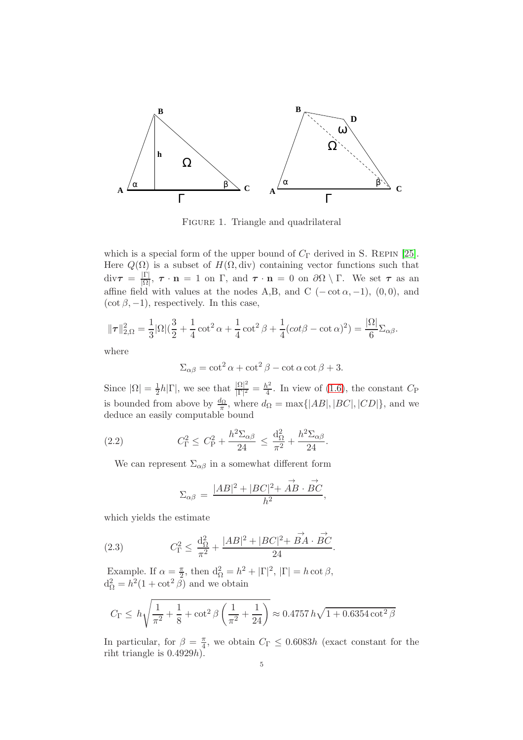

FIGURE 1. Triangle and quadrilateral

which is a special form of the upper bound of  $C_{\Gamma}$  derived in S. REPIN [\[25\]](#page-17-8). Here  $Q(\Omega)$  is a subset of  $H(\Omega, \text{div})$  containing vector functions such that  $div\tau = \frac{|\Gamma|}{|\Omega|}$  $\frac{|1|}{|\Omega|}$ ,  $\tau \cdot \mathbf{n} = 1$  on  $\Gamma$ , and  $\tau \cdot \mathbf{n} = 0$  on  $\partial\Omega \setminus \Gamma$ . We set  $\tau$  as an affine field with values at the nodes A,B, and C ( $-\cot \alpha$ ,  $-1$ ), (0,0), and  $(\cot \beta, -1)$ , respectively. In this case,

$$
\|\tau\|_{2,\Omega}^2 = \frac{1}{3} |\Omega| (\frac{3}{2} + \frac{1}{4} \cot^2 \alpha + \frac{1}{4} \cot^2 \beta + \frac{1}{4} (\cot \beta - \cot \alpha)^2) = \frac{|\Omega|}{6} \Sigma_{\alpha\beta}.
$$

where

$$
\Sigma_{\alpha\beta} = \cot^2 \alpha + \cot^2 \beta - \cot \alpha \cot \beta + 3.
$$

Since  $|\Omega| = \frac{1}{2}$  $\frac{1}{2}h|\Gamma|$ , we see that  $\frac{|\Omega|^2}{|\Gamma|^2}$  $\frac{|\Omega|^2}{|\Gamma|^2} = \frac{h^2}{4}$  $\frac{\hbar^2}{4}$ . In view of [\(1.6\)](#page-1-0), the constant  $C_{\rm P}$ is bounded from above by  $\frac{d_{\Omega}}{\pi}$ , where  $d_{\Omega} = \max\{|AB|, |BC|, |CD|\}$ , and we deduce an easily computable bound

(2.2) 
$$
C_{\Gamma}^2 \leq C_{\rm P}^2 + \frac{h^2 \Sigma_{\alpha \beta}}{24} \leq \frac{d_{\Omega}^2}{\pi^2} + \frac{h^2 \Sigma_{\alpha \beta}}{24}.
$$

We can represent  $\Sigma_{\alpha\beta}$  in a somewhat different form

$$
\Sigma_{\alpha\beta} = \frac{|AB|^2 + |BC|^2 + \overrightarrow{AB} \cdot \overrightarrow{BC}}{h^2}
$$

,

which yields the estimate

(2.3) 
$$
C_{\Gamma}^{2} \leq \frac{d_{\Omega}^{2}}{\pi^{2}} + \frac{|AB|^{2} + |BC|^{2} + \overrightarrow{BA} \cdot \overrightarrow{BC}}{24}.
$$

Example. If  $\alpha = \frac{\pi}{2}$  $\frac{\pi}{2}$ , then  $d_{\Omega}^2 = h^2 + |\Gamma|^2$ ,  $|\Gamma| = h \cot \beta$ ,  $d_{\Omega}^2 = h^2(1 + \cot^2 \beta)$  and we obtain

$$
C_{\Gamma} \le h \sqrt{\frac{1}{\pi^2} + \frac{1}{8} + \cot^2 \beta \left( \frac{1}{\pi^2} + \frac{1}{24} \right)} \approx 0.4757 h \sqrt{1 + 0.6354 \cot^2 \beta}
$$

In particular, for  $\beta = \frac{\pi}{4}$  $\frac{\pi}{4}$ , we obtain  $C_{\Gamma} \leq 0.6083h$  (exact constant for the riht triangle is  $0.4929h$ ).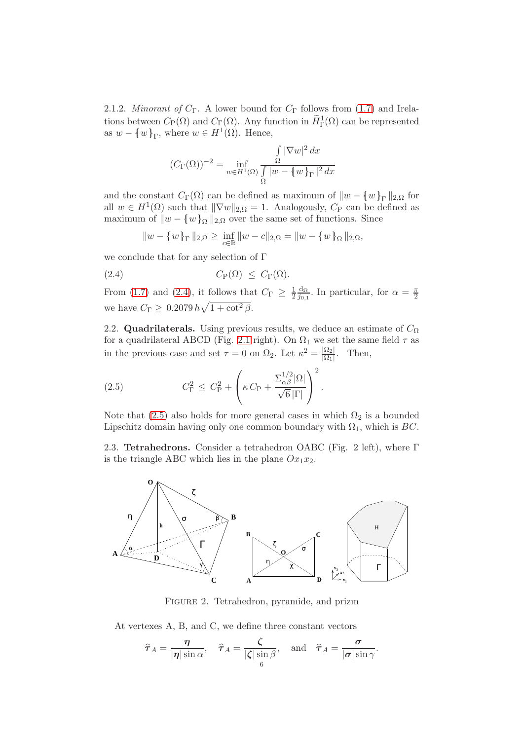2.1.2. *Minorant of*  $C_\Gamma$ . A lower bound for  $C_\Gamma$  follows from [\(1.7\)](#page-1-3) and Irelations between  $C_{\mathcal{P}}(\Omega)$  and  $C_{\Gamma}(\Omega)$ . Any function in  $\widetilde{H}^1_{\Gamma}(\Omega)$  can be represented as  $w - \{w\}_{\Gamma}$ , where  $w \in H^1(\Omega)$ . Hence,

$$
(C_{\Gamma}(\Omega))^{-2} = \inf_{w \in H^1(\Omega)} \frac{\int_{\Omega} |\nabla w|^2 dx}{\int_{\Omega} |w - \{w\}_{\Gamma}|^2 dx}
$$

and the constant  $C_{\Gamma}(\Omega)$  can be defined as maximum of  $||w - \{w\}_{\Gamma}||_{2,\Omega}$  for all  $w \in H^1(\Omega)$  such that  $\|\nabla w\|_{2,\Omega} = 1$ . Analogously,  $C_P$  can be defined as maximum of  $||w - \{w\}_\Omega||_{2,\Omega}$  over the same set of functions. Since

<span id="page-5-0"></span>
$$
||w - \{w\}_{\Gamma}||_{2,\Omega} \ge \inf_{c \in \mathbb{R}} ||w - c||_{2,\Omega} = ||w - \{w\}_{\Omega}||_{2,\Omega},
$$

we conclude that for any selection of Γ

(2.4) 
$$
C_{\mathcal{P}}(\Omega) \leq C_{\Gamma}(\Omega).
$$

From [\(1.7\)](#page-1-3) and [\(2.4\)](#page-5-0), it follows that  $C_{\Gamma} \geq \frac{1}{2}$  $rac{1}{2} \frac{d_{\Omega}}{j_{0,1}}$  $\frac{d_{\Omega}}{j_{0,1}}$ . In particular, for  $\alpha = \frac{\pi}{2}$ 2 we have  $C_{\Gamma} \geq 0.2079 h \sqrt{1 + \cot^2 \beta}$ .

2.2. Quadrilaterals. Using previous results, we deduce an estimate of  $C_{\Omega}$ for a quadrilateral ABCD (Fig. [2.1](#page-3-0) right). On  $\Omega_1$  we set the same field  $\tau$  as in the previous case and set  $\tau = 0$  on  $\Omega_2$ . Let  $\kappa^2 = \frac{|\Omega_2|}{|\Omega_1|}$  $\frac{|\Omega_2|}{|\Omega_1|}$ . Then,

<span id="page-5-1"></span>(2.5) 
$$
C_{\Gamma}^2 \leq C_{\rm P}^2 + \left(\kappa C_{\rm P} + \frac{\Sigma_{\alpha\beta}^{1/2}|\Omega|}{\sqrt{6}|\Gamma|}\right)^2.
$$

Note that [\(2.5\)](#page-5-1) also holds for more general cases in which  $\Omega_2$  is a bounded Lipschitz domain having only one common boundary with  $\Omega_1$ , which is BC.

<span id="page-5-2"></span>2.3. Tetrahedrons. Consider a tetrahedron OABC (Fig. 2 left), where Γ is the triangle ABC which lies in the plane  $Ox_1x_2$ .



Figure 2. Tetrahedron, pyramide, and prizm

At vertexes A, B, and C, we define three constant vectors

$$
\widehat{\tau}_A = \frac{\eta}{|\eta| \sin \alpha}, \quad \widehat{\tau}_A = \frac{\zeta}{|\zeta| \sin \beta}, \text{ and } \widehat{\tau}_A = \frac{\sigma}{|\sigma| \sin \gamma}.
$$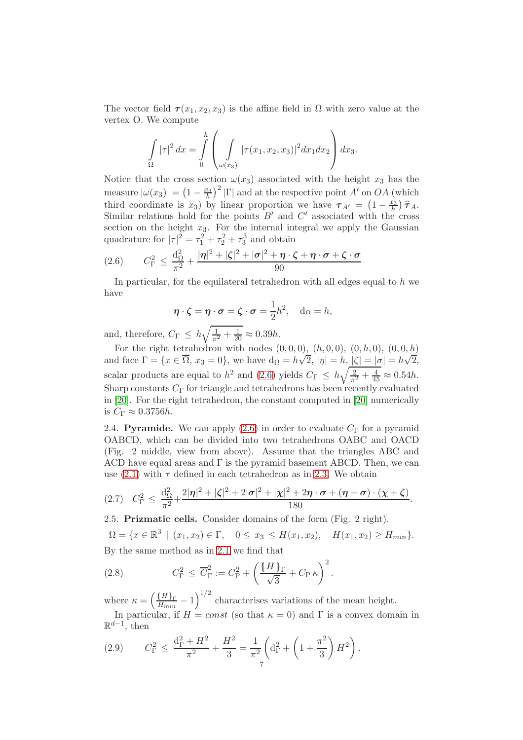The vector field  $\tau(x_1, x_2, x_3)$  is the affine field in  $\Omega$  with zero value at the vertex O. We compute

$$
\int_{\Omega} |\tau|^2 dx = \int_{0}^{h} \left( \int_{\omega(x_3)} |\tau(x_1, x_2, x_3)|^2 dx_1 dx_2 \right) dx_3.
$$

Notice that the cross section  $\omega(x_3)$  associated with the height  $x_3$  has the measure  $|\omega(x_3)| = (1 - \frac{x_3}{h})^2 |\Gamma|$  and at the respective point A' on OA (which third coordinate is  $x_3$ ) by linear proportion we have  $\tau_{A'} = \left(1 - \frac{x_3}{h}\right) \hat{\tau}_A$ . Similar relations hold for the points  $B'$  and  $C'$  associated with the cross section on the height  $x_3$ . For the internal integral we apply the Gaussian quadrature for  $|\tau|^2 = \tau_1^2 + \tau_2^2 + \tau_3^3$  and obtain

<span id="page-6-0"></span>
$$
(2.6) \qquad C_{\Gamma}^2 \leq \frac{\mathrm{d}_{\Omega}^2}{\pi^2} + \frac{|\eta|^2 + |\zeta|^2 + |\sigma|^2 + \eta \cdot \zeta + \eta \cdot \sigma + \zeta \cdot \sigma}{90}
$$

In particular, for the equilateral tetrahedron with all edges equal to  $h$  we have

$$
\eta \cdot \zeta = \eta \cdot \sigma = \zeta \cdot \sigma = \frac{1}{2}h^2
$$
,  $d_{\Omega} = h$ ,

and, therefore,  $C_{\Gamma} \leq h \sqrt{\frac{1}{\pi^2} + \frac{1}{20}} \approx 0.39h$ .

For the right tetrahedron with nodes  $(0, 0, 0)$ ,  $(h, 0, 0)$ ,  $(0, h, 0)$ ,  $(0, 0, h)$ and face  $\Gamma = \{x \in \overline{\Omega}, x_3 = 0\}$ , we have  $d_{\Omega} = h\sqrt{2}$ ,  $|\eta| = h$ ,  $|\zeta| = |\sigma| = h\sqrt{2}$ , scalar products are equal to  $h^2$  and [\(2.6\)](#page-6-0) yields  $C_{\Gamma} \leq h \sqrt{\frac{2}{\pi^2} + \frac{4}{45}} \approx 0.54h$ . Sharp constants  $C_{\Gamma}$  for triangle and tetrahedrons has been recently evaluated in [\[20\]](#page-17-9). For the right tetrahedron, the constant computed in [\[20\]](#page-17-9) numerically is  $C_{\Gamma} \approx 0.3756h$ .

2.4. Pyramide. We can apply  $(2.6)$  in order to evaluate  $C_{\Gamma}$  for a pyramid OABCD, which can be divided into two tetrahedrons OABC and OACD (Fig. 2 middle, view from above). Assume that the triangles ABC and ACD have equal areas and  $\Gamma$  is the pyramid basement ABCD. Then, we can use [\(2.1\)](#page-3-1) with  $\tau$  defined in each tetrahedron as in [2.3.](#page-5-2) We obtain

$$
(2.7) \quad C_{\Gamma}^{2} \leq \frac{d_{\Omega}^{2}}{\pi^{2}} + \frac{2|\eta|^{2} + |\zeta|^{2} + 2|\sigma|^{2} + |\chi|^{2} + 2\eta \cdot \sigma + (\eta + \sigma) \cdot (\chi + \zeta)}{180}
$$

.

2.5. Prizmatic cells. Consider domains of the form (Fig. 2 right).

$$
\Omega = \{x \in \mathbb{R}^3 \mid (x_1, x_2) \in \Gamma, \quad 0 \le x_3 \le H(x_1, x_2), \quad H(x_1, x_2) \ge H_{min}\}.
$$
  
By the same method as in 2.1 we find that

<span id="page-6-1"></span>(2.8) 
$$
C_{\Gamma}^{2} \leq \overline{C}_{\Gamma}^{2} := C_{\rm P}^{2} + \left(\frac{\{H\}_{\Gamma}}{\sqrt{3}} + C_{\rm P} \,\kappa\right)^{2}.
$$

where  $\kappa = \left(\frac{\{H\}_{\Gamma}}{H_{min}} - 1\right)^{1/2}$  characterises variations of the mean height. In particular, if  $H = const$  (so that  $\kappa = 0$ ) and  $\Gamma$  is a convex domain in

 $\mathbb{R}^{d-1}$ , then

(2.9) 
$$
C_{\Gamma}^2 \le \frac{d_{\Gamma}^2 + H^2}{\pi^2} + \frac{H^2}{3} = \frac{1}{\pi^2} \left( d_{\Gamma}^2 + \left( 1 + \frac{\pi^2}{3} \right) H^2 \right).
$$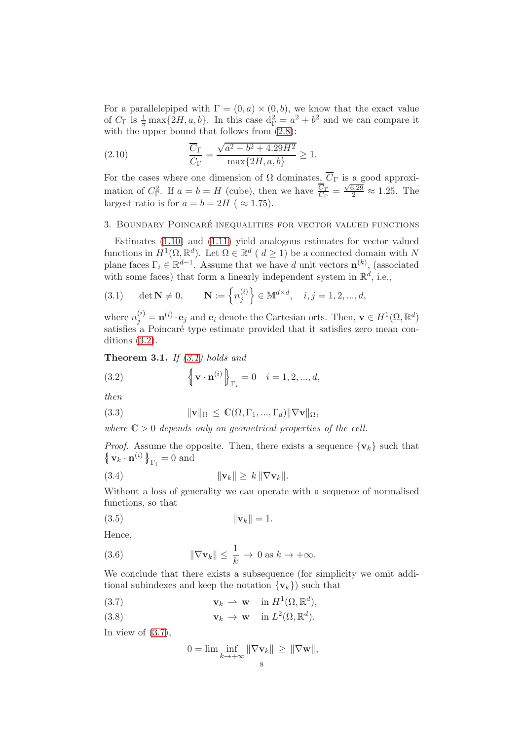For a parallelepiped with  $\Gamma = (0, a) \times (0, b)$ , we know that the exact value of  $C_{\Gamma}$  is  $\frac{1}{\pi} \max\{2H, a, b\}$ . In this case  $d_{\Gamma}^2 = a^2 + b^2$  and we can compare it with the upper bound that follows from  $(2.8)$ :

(2.10) 
$$
\frac{\overline{C}_{\Gamma}}{C_{\Gamma}} = \frac{\sqrt{a^2 + b^2 + 4.29H^2}}{\max\{2H, a, b\}} \ge 1.
$$

For the cases where one dimension of  $\Omega$  dominates,  $\overline{C}_{\Gamma}$  is a good approximation of  $C_{\Gamma}^2$ . If  $a = b = H$  (cube), then we have  $\frac{\overline{C}_{\Gamma}}{C_{\Gamma}} = \frac{\sqrt{6.29}}{2} \approx 1.25$ . The largest ratio is for  $a = b = 2H$  ( $\approx 1.75$ ).

#### 3. Boundary Poincar´e inequalities for vector valued functions

Estimates [\(1.10\)](#page-1-1) and [\(1.11\)](#page-1-2) yield analogous estimates for vector valued functions in  $H^1(\Omega, \mathbb{R}^d)$ . Let  $\Omega \in \mathbb{R}^d$  (  $d \geq 1$ ) be a connected domain with N plane faces  $\Gamma_i \in \mathbb{R}^{d-1}$ . Assume that we have d unit vectors  $\mathbf{n}^{(k)}$ , (associated with some faces) that form a linearly independent system in  $\mathbb{R}^d$ , i.e.,

<span id="page-7-2"></span>(3.1) 
$$
\det \mathbf{N} \neq 0, \qquad \mathbf{N} := \left\{ n_j^{(i)} \right\} \in \mathbb{M}^{d \times d}, \quad i, j = 1, 2, ..., d,
$$

where  $n_j^{(i)} = \mathbf{n}^{(i)} \cdot \mathbf{e}_j$  and  $\mathbf{e}_i$  denote the Cartesian orts. Then,  $\mathbf{v} \in H^1(\Omega, \mathbb{R}^d)$ satisfies a Poincaré type estimate provided that it satisfies zero mean conditions [\(3.2\)](#page-7-1).

<span id="page-7-0"></span>**Theorem 3.1.** If  $(3.1)$  holds and

<span id="page-7-1"></span>(3.2) 
$$
\left\{ \mathbf{v} \cdot \mathbf{n}^{(i)} \right\}_{\Gamma_i} = 0 \quad i = 1, 2, ..., d,
$$

then

(3.3) 
$$
\|\mathbf{v}\|_{\Omega} \leq \mathbb{C}(\Omega, \Gamma_1, ..., \Gamma_d) \|\nabla \mathbf{v}\|_{\Omega},
$$

where  $\mathbb{C} > 0$  depends only on geometrical properties of the cell.

*Proof.* Assume the opposite. Then, there exists a sequence  $\{v_k\}$  such that  $\left\{\mathbf{v}_k\cdot\mathbf{n}^{(i)}\right\}_{\Gamma_i}=0$  and

(3.4) 
$$
\|\mathbf{v}_k\| \geq k \|\nabla \mathbf{v}_k\|.
$$

Without a loss of generality we can operate with a sequence of normalised functions, so that

$$
||\mathbf{v}_k|| = 1.
$$

Hence,

<span id="page-7-4"></span>(3.6) 
$$
\|\nabla \mathbf{v}_k\| \leq \frac{1}{k} \to 0 \text{ as } k \to +\infty.
$$

We conclude that there exists a subsequence (for simplicity we omit additional subindexes and keep the notation  $\{v_k\}$  such that

(3.7)  $\mathbf{v}_k \rightharpoonup \mathbf{w} \quad \text{in } H^1(\Omega, \mathbb{R}^d),$ 

(3.8) 
$$
\mathbf{v}_k \to \mathbf{w} \quad \text{in } L^2(\Omega, \mathbb{R}^d).
$$

In view of  $(3.7)$ ,

<span id="page-7-3"></span>
$$
0 = \lim \inf_{k \to +\infty} \|\nabla \mathbf{v}_k\| \ge \|\nabla \mathbf{w}\|,
$$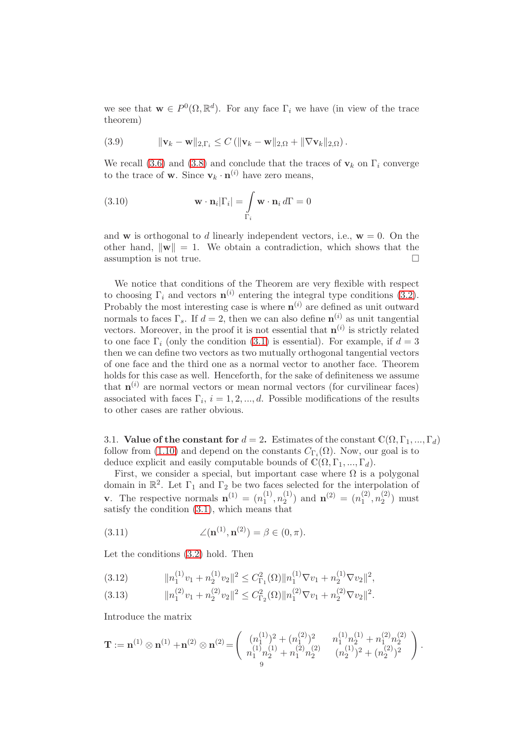we see that  $\mathbf{w} \in P^0(\Omega, \mathbb{R}^d)$ . For any face  $\Gamma_i$  we have (in view of the trace theorem)

(3.9) 
$$
\|\mathbf{v}_k - \mathbf{w}\|_{2,\Gamma_i} \leq C \left( \|\mathbf{v}_k - \mathbf{w}\|_{2,\Omega} + \|\nabla \mathbf{v}_k\|_{2,\Omega} \right).
$$

We recall [\(3.6\)](#page-7-4) and [\(3.8\)](#page-7-3) and conclude that the traces of  $v_k$  on  $\Gamma_i$  converge to the trace of **w**. Since  $\mathbf{v}_k \cdot \mathbf{n}^{(i)}$  have zero means,

(3.10) 
$$
\mathbf{w} \cdot \mathbf{n}_i |\Gamma_i| = \int_{\Gamma_i} \mathbf{w} \cdot \mathbf{n}_i d\Gamma = 0
$$

and w is orthogonal to d linearly independent vectors, i.e.,  $w = 0$ . On the other hand,  $\|\mathbf{w}\| = 1$ . We obtain a contradiction, which shows that the assumption is not true. assumption is not true.

We notice that conditions of the Theorem are very flexible with respect to choosing  $\Gamma_i$  and vectors  $\mathbf{n}^{(i)}$  entering the integral type conditions [\(3.2\)](#page-7-1). Probably the most interesting case is where  $\mathbf{n}^{(i)}$  are defined as unit outward normals to faces  $\Gamma_s$ . If  $d=2$ , then we can also define  $\mathbf{n}^{(i)}$  as unit tangential vectors. Moreover, in the proof it is not essential that  $\mathbf{n}^{(i)}$  is strictly related to one face  $\Gamma_i$  (only the condition [\(3.1\)](#page-7-2) is essential). For example, if  $d=3$ then we can define two vectors as two mutually orthogonal tangential vectors of one face and the third one as a normal vector to another face. Theorem holds for this case as well. Henceforth, for the sake of definiteness we assume that  $\mathbf{n}^{(i)}$  are normal vectors or mean normal vectors (for curvilinear faces) associated with faces  $\Gamma_i$ ,  $i = 1, 2, ..., d$ . Possible modifications of the results to other cases are rather obvious.

3.1. Value of the constant for  $d = 2$ . Estimates of the constant  $\mathbb{C}(\Omega, \Gamma_1, ..., \Gamma_d)$ follow from [\(1.10\)](#page-1-1) and depend on the constants  $C_{\Gamma_i}(\Omega)$ . Now, our goal is to deduce explicit and easily computable bounds of  $\mathbb{C}(\Omega, \Gamma_1, ..., \Gamma_d)$ .

First, we consider a special, but important case where  $\Omega$  is a polygonal domain in  $\mathbb{R}^2$ . Let  $\Gamma_1$  and  $\Gamma_2$  be two faces selected for the interpolation of **v**. The respective normals  $\mathbf{n}^{(1)} = (n_1^{(1)})$  $\binom{11}{1},n\binom{11}{2}$  $\binom{1}{2}$  and  $\mathbf{n}^{(2)} = (n_1^{(2)})$  $\binom{2}{1},n\binom{2}{2}$  $2^{(2)}$  must satisfy the condition [\(3.1\)](#page-7-2), which means that

(3.11) 
$$
\angle(\mathbf{n}^{(1)}, \mathbf{n}^{(2)}) = \beta \in (0, \pi).
$$

Let the conditions [\(3.2\)](#page-7-1) hold. Then

<span id="page-8-0"></span>
$$
(3.12) \t\t\t ||n_1^{(1)}v_1 + n_2^{(1)}v_2||^2 \leq C_{\Gamma_1}^2(\Omega) ||n_1^{(1)}\nabla v_1 + n_2^{(1)}\nabla v_2||^2,
$$

$$
(3.13) \t\t\t  $||n_1^{(2)}v_1+n_2^{(2)}v_2||^2 \leq C_{\Gamma_2}^2(\Omega)||n_1^{(2)}\nabla v_1+n_2^{(2)}\nabla v_2||^2.$
$$

Introduce the matrix

$$
\mathbf{T} := \mathbf{n}^{(1)} \otimes \mathbf{n}^{(1)} + \mathbf{n}^{(2)} \otimes \mathbf{n}^{(2)} = \begin{pmatrix} (n_1^{(1)})^2 + (n_1^{(2)})^2 & n_1^{(1)}n_2^{(1)} + n_1^{(2)}n_2^{(2)} \\ n_1^{(1)}n_2^{(1)} + n_1^{(2)}n_2^{(2)} & (n_2^{(1)})^2 + (n_2^{(2)})^2 \end{pmatrix}.
$$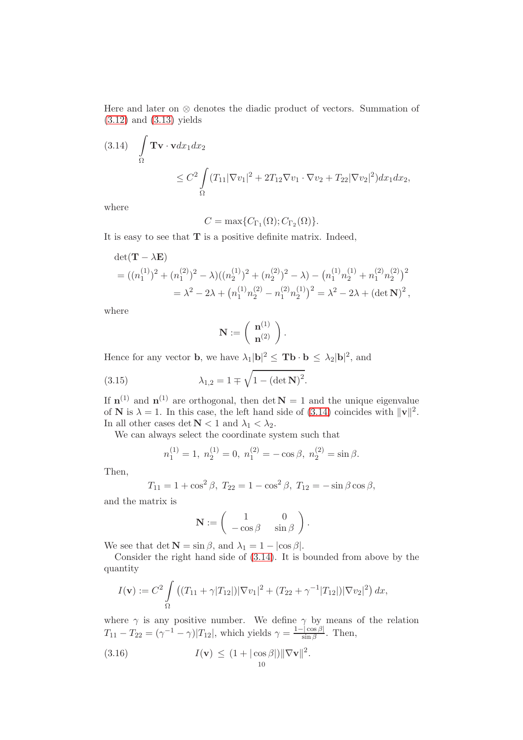Here and later on ⊗ denotes the diadic product of vectors. Summation of [\(3.12\)](#page-8-0) and [\(3.13\)](#page-8-0) yields

<span id="page-9-0"></span>(3.14) 
$$
\int_{\Omega} \mathbf{Tv} \cdot \mathbf{v} dx_1 dx_2
$$
  
\n
$$
\leq C^2 \int_{\Omega} (T_{11} |\nabla v_1|^2 + 2T_{12} \nabla v_1 \cdot \nabla v_2 + T_{22} |\nabla v_2|^2) dx_1 dx_2,
$$

where

$$
C = \max\{C_{\Gamma_1}(\Omega); C_{\Gamma_2}(\Omega)\}.
$$

It is easy to see that  $T$  is a positive definite matrix. Indeed,

$$
det(\mathbf{T} - \lambda \mathbf{E})
$$
  
=  $((n_1^{(1)})^2 + (n_1^{(2)})^2 - \lambda)((n_2^{(1)})^2 + (n_2^{(2)})^2 - \lambda) - (n_1^{(1)}n_2^{(1)} + n_1^{(2)}n_2^{(2)})^2$   
=  $\lambda^2 - 2\lambda + (n_1^{(1)}n_2^{(2)} - n_1^{(2)}n_2^{(1)})^2 = \lambda^2 - 2\lambda + (det \mathbf{N})^2,$ 

where

$$
\mathbf{N}:=\left(\begin{array}{c} \mathbf{n}^{(1)} \\ \mathbf{n}^{(2)} \end{array}\right).
$$

Hence for any vector **b**, we have  $\lambda_1 |\mathbf{b}|^2 \leq \mathbf{T} \mathbf{b} \cdot \mathbf{b} \leq \lambda_2 |\mathbf{b}|^2$ , and

(3.15) 
$$
\lambda_{1,2} = 1 \mp \sqrt{1 - (\det \mathbf{N})^2}.
$$

If  $\mathbf{n}^{(1)}$  and  $\mathbf{n}^{(1)}$  are orthogonal, then det  $\mathbf{N} = 1$  and the unique eigenvalue of **N** is  $\lambda = 1$ . In this case, the left hand side of [\(3.14\)](#page-9-0) coincides with  $\|\mathbf{v}\|^2$ . In all other cases det  $N < 1$  and  $\lambda_1 < \lambda_2$ .

We can always select the coordinate system such that

$$
n_1^{(1)} = 1
$$
,  $n_2^{(1)} = 0$ ,  $n_1^{(2)} = -\cos \beta$ ,  $n_2^{(2)} = \sin \beta$ .

Then,

$$
T_{11} = 1 + \cos^2 \beta
$$
,  $T_{22} = 1 - \cos^2 \beta$ ,  $T_{12} = -\sin \beta \cos \beta$ ,

and the matrix is

$$
\mathbf{N} := \begin{pmatrix} 1 & 0 \\ -\cos\beta & \sin\beta \end{pmatrix}.
$$

We see that det  $\mathbf{N} = \sin \beta$ , and  $\lambda_1 = 1 - |\cos \beta|$ .

Consider the right hand side of [\(3.14\)](#page-9-0). It is bounded from above by the quantity

$$
I(\mathbf{v}) := C^2 \int_{\Omega} \left( (T_{11} + \gamma |T_{12}|) |\nabla v_1|^2 + (T_{22} + \gamma^{-1} |T_{12}|) |\nabla v_2|^2 \right) dx,
$$

where  $\gamma$  is any positive number. We define  $\gamma$  by means of the relation  $T_{11} - T_{22} = (\gamma^{-1} - \gamma)|T_{12}|$ , which yields  $\gamma = \frac{1 - |\cos \beta|}{\sin \beta}$ . Then,

<span id="page-9-1"></span>(3.16) 
$$
I(\mathbf{v}) \leq (1 + |\cos \beta|) \|\nabla \mathbf{v}\|^2.
$$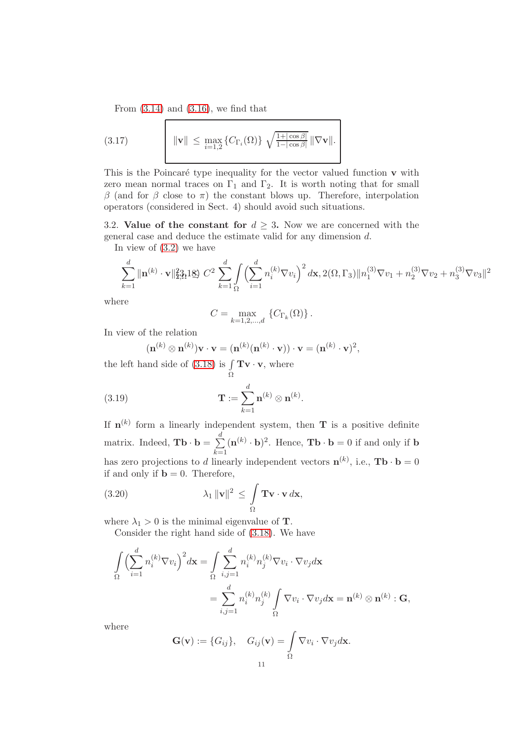<span id="page-10-3"></span>From  $(3.14)$  and  $(3.16)$ , we find that

(3.17) 
$$
\|\mathbf{v}\| \leq \max_{i=1,2} \{C_{\Gamma_i}(\Omega)\} \sqrt{\frac{1+|\cos\beta|}{1-|\cos\beta|}} \|\nabla \mathbf{v}\|.
$$

This is the Poincaré type inequality for the vector valued function  $\bf{v}$  with zero mean normal traces on  $\Gamma_1$  and  $\Gamma_2$ . It is worth noting that for small β (and for β close to π) the constant blows up. Therefore, interpolation operators (considered in Sect. 4) should avoid such situations.

<span id="page-10-4"></span>3.2. Value of the constant for  $d \geq 3$ . Now we are concerned with the general case and deduce the estimate valid for any dimension d.

In view of [\(3.2\)](#page-7-1) we have

<span id="page-10-0"></span>
$$
\sum_{k=1}^{d} \|\mathbf{n}^{(k)} \cdot \mathbf{v}\|_{2,3}^{2} \leq 2 \sum_{k=1}^{d} \int \left( \sum_{i=1}^{d} n_{i}^{(k)} \nabla v_{i} \right)^{2} d\mathbf{x}, 2(\Omega, \Gamma_{3}) \|n_{1}^{(3)} \nabla v_{1} + n_{2}^{(3)} \nabla v_{2} + n_{3}^{(3)} \nabla v_{3} \|^{2}
$$

where

$$
C=\max_{k=1,2,...,d}\ \left\{C_{\Gamma_k}(\Omega)\right\}.
$$

In view of the relation

<span id="page-10-1"></span>
$$
(\mathbf{n}^{(k)} \otimes \mathbf{n}^{(k)}) \mathbf{v} \cdot \mathbf{v} = (\mathbf{n}^{(k)} (\mathbf{n}^{(k)} \cdot \mathbf{v})) \cdot \mathbf{v} = (\mathbf{n}^{(k)} \cdot \mathbf{v})^2,
$$

the left hand side of  $(3.18)$  is  $\int$  $\int\limits_{\Omega} \mathbf{Tv} \cdot \mathbf{v}$ , where

(3.19) 
$$
\mathbf{T} := \sum_{k=1}^d \mathbf{n}^{(k)} \otimes \mathbf{n}^{(k)}.
$$

If  $\mathbf{n}^{(k)}$  form a linearly independent system, then **T** is a positive definite matrix. Indeed,  $\mathbf{T}\mathbf{b} \cdot \mathbf{b} = \sum_{i=1}^{d}$  $k=1$  $(\mathbf{n}^{(k)} \cdot \mathbf{b})^2$ . Hence, **Tb**  $\cdot \mathbf{b} = 0$  if and only if **b** has zero projections to d linearly independent vectors  $\mathbf{n}^{(k)}$ , i.e.,  $\mathbf{T}\mathbf{b} \cdot \mathbf{b} = 0$ if and only if  $\mathbf{b} = 0$ . Therefore,

<span id="page-10-2"></span>(3.20) 
$$
\lambda_1 \|\mathbf{v}\|^2 \leq \int_{\Omega} \mathbf{Tv} \cdot \mathbf{v} d\mathbf{x},
$$

where  $\lambda_1 > 0$  is the minimal eigenvalue of **T**.

Consider the right hand side of [\(3.18\)](#page-10-0). We have

$$
\int_{\Omega} \left( \sum_{i=1}^{d} n_i^{(k)} \nabla v_i \right)^2 d\mathbf{x} = \int_{\Omega} \sum_{i,j=1}^{d} n_i^{(k)} n_j^{(k)} \nabla v_i \cdot \nabla v_j d\mathbf{x}
$$
\n
$$
= \sum_{i,j=1}^{d} n_i^{(k)} n_j^{(k)} \int_{\Omega} \nabla v_i \cdot \nabla v_j d\mathbf{x} = \mathbf{n}^{(k)} \otimes \mathbf{n}^{(k)} : \mathbf{G},
$$

where

$$
\mathbf{G}(\mathbf{v}) := \{G_{ij}\}, \quad G_{ij}(\mathbf{v}) = \int_{\Omega} \nabla v_i \cdot \nabla v_j d\mathbf{x}.
$$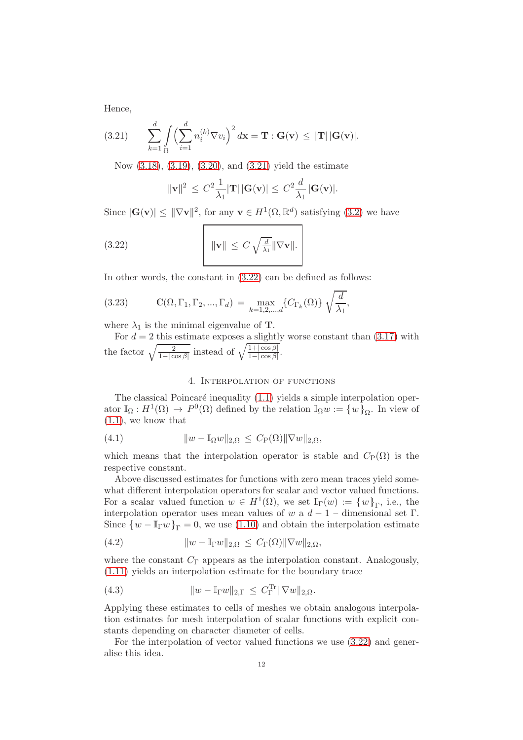Hence,

<span id="page-11-0"></span>(3.21) 
$$
\sum_{k=1}^d \int_{\Omega} \left( \sum_{i=1}^d n_i^{(k)} \nabla v_i \right)^2 d\mathbf{x} = \mathbf{T} : \mathbf{G}(\mathbf{v}) \leq |\mathbf{T}| |\mathbf{G}(\mathbf{v})|.
$$

Now [\(3.18\)](#page-10-0), [\(3.19\)](#page-10-1), [\(3.20\)](#page-10-2), and [\(3.21\)](#page-11-0) yield the estimate

<span id="page-11-1"></span>
$$
\|\mathbf{v}\|^2 \leq C^2 \frac{1}{\lambda_1} |\mathbf{T}| |\mathbf{G}(\mathbf{v})| \leq C^2 \frac{d}{\lambda_1} |\mathbf{G}(\mathbf{v})|.
$$

Since  $|\mathbf{G}(\mathbf{v})| \leq ||\nabla \mathbf{v}||^2$ , for any  $\mathbf{v} \in H^1(\Omega, \mathbb{R}^d)$  satisfying  $(3.2)$  we have

(3.22) 
$$
\|\mathbf{v}\| \leq C \sqrt{\frac{d}{\lambda_1}} \|\nabla \mathbf{v}\|.
$$

In other words, the constant in [\(3.22\)](#page-11-1) can be defined as follows:

(3.23) 
$$
\mathbb{C}(\Omega, \Gamma_1, \Gamma_2, ..., \Gamma_d) = \max_{k=1,2,...,d} \{ C_{\Gamma_k}(\Omega) \} \sqrt{\frac{d}{\lambda_1}},
$$

where  $\lambda_1$  is the minimal eigenvalue of **T**.

For  $d = 2$  this estimate exposes a slightly worse constant than  $(3.17)$  with the factor  $\sqrt{\frac{2}{1-|\cos\beta|}}$  instead of  $\sqrt{\frac{1+|\cos\beta|}{1-|\cos\beta|}}$ .

## 4. Interpolation of functions

The classical Poincaré inequality  $(1.1)$  yields a simple interpolation operator  $\mathbb{I}_{\Omega}: H^{1}(\Omega) \to P^{0}(\Omega)$  defined by the relation  $\mathbb{I}_{\Omega} w := \{w\}_{\Omega}$ . In view of  $(1.1)$ , we know that

(4.1) 
$$
||w - \mathbb{I}_{\Omega}w||_{2,\Omega} \leq C_{\mathcal{P}}(\Omega) ||\nabla w||_{2,\Omega},
$$

which means that the interpolation operator is stable and  $C_P(\Omega)$  is the respective constant.

Above discussed estimates for functions with zero mean traces yield somewhat different interpolation operators for scalar and vector valued functions. For a scalar valued function  $w \in H^1(\Omega)$ , we set  $\mathbb{I}_{\Gamma}(w) := \{w\}_{\Gamma}$ , i.e., the interpolation operator uses mean values of w a  $d-1$  – dimensional set Γ. Since  $\{w - \mathbb{I}_{\Gamma}w\}_{\Gamma} = 0$ , we use [\(1.10\)](#page-1-1) and obtain the interpolation estimate

(4.2) 
$$
||w - \mathbb{I}_{\Gamma}w||_{2,\Omega} \leq C_{\Gamma}(\Omega) ||\nabla w||_{2,\Omega},
$$

where the constant  $C_{\Gamma}$  appears as the interpolation constant. Analogously, [\(1.11\)](#page-1-2) yields an interpolation estimate for the boundary trace

(4.3) 
$$
||w - \mathbb{I}_{\Gamma}w||_{2,\Gamma} \leq C_{\Gamma}^{\text{Tr}} ||\nabla w||_{2,\Omega}.
$$

Applying these estimates to cells of meshes we obtain analogous interpolation estimates for mesh interpolation of scalar functions with explicit constants depending on character diameter of cells.

For the interpolation of vector valued functions we use [\(3.22\)](#page-11-1) and generalise this idea.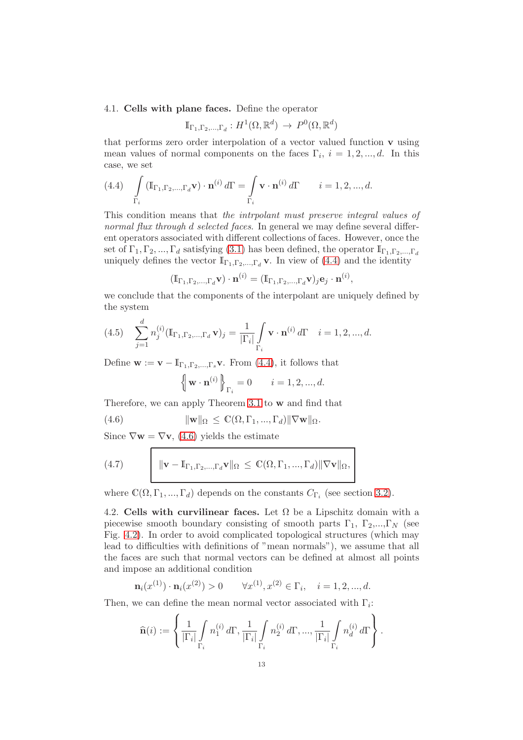### 4.1. Cells with plane faces. Define the operator

$$
\mathbb{I}_{\Gamma_1,\Gamma_2,\dots,\Gamma_d}: H^1(\Omega,\mathbb{R}^d) \to P^0(\Omega,\mathbb{R}^d)
$$

that performs zero order interpolation of a vector valued function  $\bf{v}$  using mean values of normal components on the faces  $\Gamma_i$ ,  $i = 1, 2, ..., d$ . In this case, we set

<span id="page-12-0"></span>
$$
(4.4)\quad \int\limits_{\Gamma_i} \left(\mathbb{I}_{\Gamma_1,\Gamma_2,\ldots,\Gamma_d} \mathbf{v}\right)\cdot \mathbf{n}^{(i)}\,d\Gamma = \int\limits_{\Gamma_i} \mathbf{v}\cdot \mathbf{n}^{(i)}\,d\Gamma \qquad i=1,2,...,d.
$$

This condition means that the intrpolant must preserve integral values of normal flux through d selected faces. In general we may define several different operators associated with different collections of faces. However, once the set of  $\Gamma_1, \Gamma_2, ..., \Gamma_d$  satisfying [\(3.1\)](#page-7-2) has been defined, the operator  $\mathbb{I}_{\Gamma_1, \Gamma_2, ..., \Gamma_d}$ uniquely defines the vector  $\mathbb{I}_{\Gamma_1,\Gamma_2,\dots,\Gamma_d}$  v. In view of [\(4.4\)](#page-12-0) and the identity

$$
(\mathbb{I}_{\Gamma_1,\Gamma_2,\ldots,\Gamma_d} \mathbf{v}) \cdot \mathbf{n}^{(i)} = (\mathbb{I}_{\Gamma_1,\Gamma_2,\ldots,\Gamma_d} \mathbf{v})_j \mathbf{e}_j \cdot \mathbf{n}^{(i)},
$$

we conclude that the components of the interpolant are uniquely defined by the system

(4.5) 
$$
\sum_{j=1}^{d} n_j^{(i)} (\mathbb{I}_{\Gamma_1, \Gamma_2, ..., \Gamma_d} \mathbf{v})_j = \frac{1}{|\Gamma_i|} \int_{\Gamma_i} \mathbf{v} \cdot \mathbf{n}^{(i)} d\Gamma \quad i = 1, 2, ..., d.
$$

Define  $\mathbf{w} := \mathbf{v} - \mathbb{I}_{\Gamma_1, \Gamma_2, ..., \Gamma_s} \mathbf{v}$ . From [\(4.4\)](#page-12-0), it follows that

<span id="page-12-1"></span>
$$
\left\{\mathbf{w}\cdot\mathbf{n}^{(i)}\right\}_{\Gamma_i}=0\qquad i=1,2,...,d.
$$

Therefore, we can apply Theorem [3.1](#page-7-0) to w and find that

(4.6) 
$$
\|\mathbf{w}\|_{\Omega} \leq \mathbb{C}(\Omega, \Gamma_1, ..., \Gamma_d) \|\nabla \mathbf{w}\|_{\Omega}.
$$

Since  $\nabla \mathbf{w} = \nabla \mathbf{v}$ , [\(4.6\)](#page-12-1) yields the estimate

<span id="page-12-3"></span>(4.7) 
$$
\|\mathbf{v} - \mathbf{I}_{\Gamma_1, \Gamma_2, ..., \Gamma_d} \mathbf{v}\|_{\Omega} \leq \mathbb{C}(\Omega, \Gamma_1, ..., \Gamma_d) \|\nabla \mathbf{v}\|_{\Omega},
$$

where  $\mathbb{C}(\Omega, \Gamma_1, ..., \Gamma_d)$  depends on the constants  $C_{\Gamma_i}$  (see section [3.2\)](#page-10-4).

<span id="page-12-2"></span>4.2. Cells with curvilinear faces. Let  $\Omega$  be a Lipschitz domain with a piecewise smooth boundary consisting of smooth parts  $\Gamma_1$ ,  $\Gamma_2$ ,..., $\Gamma_N$  (see Fig. [4.2\)](#page-12-2). In order to avoid complicated topological structures (which may lead to difficulties with definitions of "mean normals"), we assume that all the faces are such that normal vectors can be defined at almost all points and impose an additional condition

$$
\mathbf{n}_i(x^{(1)}) \cdot \mathbf{n}_i(x^{(2)}) > 0 \qquad \forall x^{(1)}, x^{(2)} \in \Gamma_i, \quad i = 1, 2, \dots, d.
$$

Then, we can define the mean normal vector associated with  $\Gamma_i$ :

$$
\widehat{\mathbf{n}}(i) := \left\{ \frac{1}{|\Gamma_i|} \int\limits_{\Gamma_i} n_1^{(i)} d\Gamma, \frac{1}{|\Gamma_i|} \int\limits_{\Gamma_i} n_2^{(i)} d\Gamma, ..., \frac{1}{|\Gamma_i|} \int\limits_{\Gamma_i} n_d^{(i)} d\Gamma \right\}.
$$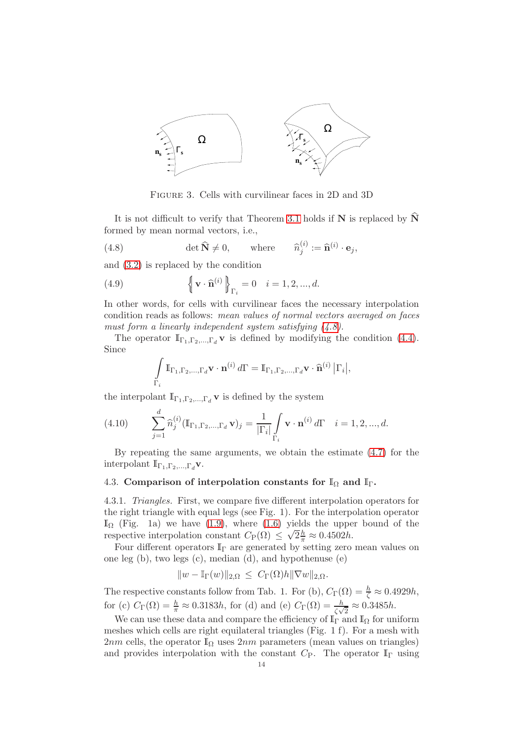

<span id="page-13-0"></span>Figure 3. Cells with curvilinear faces in 2D and 3D

It is not difficult to verify that Theorem [3.1](#page-7-0) holds if  $N$  is replaced by  $\hat{N}$ formed by mean normal vectors, i.e.,

(4.8) 
$$
\det \widehat{\mathbf{N}} \neq 0, \qquad \text{where} \qquad \widehat{n}_j^{(i)} := \widehat{\mathbf{n}}^{(i)} \cdot \mathbf{e}_j,
$$

and [\(3.2\)](#page-7-1) is replaced by the condition

(4.9) 
$$
\left\{ \mathbf{v} \cdot \widehat{\mathbf{n}}^{(i)} \right\}_{\Gamma_i} = 0 \quad i = 1, 2, ..., d.
$$

In other words, for cells with curvilinear faces the necessary interpolation condition reads as follows: mean values of normal vectors averaged on faces must form a linearly independent system satisfying  $(4.8)$ .

The operator  $\mathbb{I}_{\Gamma_1,\Gamma_2,\dots,\Gamma_d}$  v is defined by modifying the condition [\(4.4\)](#page-12-0). Since

$$
\int\limits_{\Gamma_i} \mathbb{I}_{\Gamma_1,\Gamma_2,\ldots,\Gamma_d} \mathbf{v}\cdot \mathbf{n}^{(i)}\, d\Gamma = \mathbb{I}_{\Gamma_1,\Gamma_2,\ldots,\Gamma_d} \mathbf{v}\cdot \widehat{\mathbf{n}}^{(i)}\,\big|\Gamma_i\big|,
$$

the interpolant  $\mathbb{I}_{\Gamma_1,\Gamma_2,\dots,\Gamma_d}$  **v** is defined by the system

(4.10) 
$$
\sum_{j=1}^{d} \widehat{n}_{j}^{(i)} (\mathbb{I}_{\Gamma_{1}, \Gamma_{2}, ..., \Gamma_{d}} \mathbf{v})_{j} = \frac{1}{|\Gamma_{i}|} \int_{\Gamma_{i}} \mathbf{v} \cdot \mathbf{n}^{(i)} d\Gamma \quad i = 1, 2, ..., d.
$$

By repeating the same arguments, we obtain the estimate [\(4.7\)](#page-12-3) for the interpolant  $\mathbb{I}_{\Gamma_1,\Gamma_2,\dots,\Gamma_d}$ **v**.

# 4.3. Comparison of interpolation constants for  $\mathbb{I}_{\Omega}$  and  $\mathbb{I}_{\Gamma}$ .

4.3.1. Triangles. First, we compare five different interpolation operators for the right triangle with equal legs (see Fig. 1). For the interpolation operator  $\mathbb{I}_{\Omega}$  (Fig. 1a) we have [\(1.9\)](#page-1-4), where [\(1.6\)](#page-1-0) yields the upper bound of the respective interpolation constant  $C_{\rm P}(\Omega) \leq \sqrt{2}\frac{h}{\pi} \approx 0.4502h$ .

Four different operators  $\mathbb{I}_{\Gamma}$  are generated by setting zero mean values on one leg (b), two legs (c), median (d), and hypothenuse (e)

$$
||w - \mathbb{I}_{\Gamma}(w)||_{2,\Omega} \leq C_{\Gamma}(\Omega)h||\nabla w||_{2,\Omega}.
$$

The respective constants follow from Tab. 1. For (b),  $C_{\Gamma}(\Omega) = \frac{h}{\zeta} \approx 0.4929h$ , for (c)  $C_{\Gamma}(\Omega) = \frac{h}{\pi} \approx 0.3183h$ , for (d) and (e)  $C_{\Gamma}(\Omega) = \frac{h}{\zeta \sqrt{2}} \approx 0.3485h$ .

We can use these data and compare the efficiency of  $\mathbb{I}_{\Gamma}$  and  $\mathbb{I}_{\Omega}$  for uniform meshes which cells are right equilateral triangles (Fig. 1 f). For a mesh with 2nm cells, the operator  $\mathbb{I}_{\Omega}$  uses 2nm parameters (mean values on triangles) and provides interpolation with the constant  $C_P$ . The operator  $\mathbb{I}_{\Gamma}$  using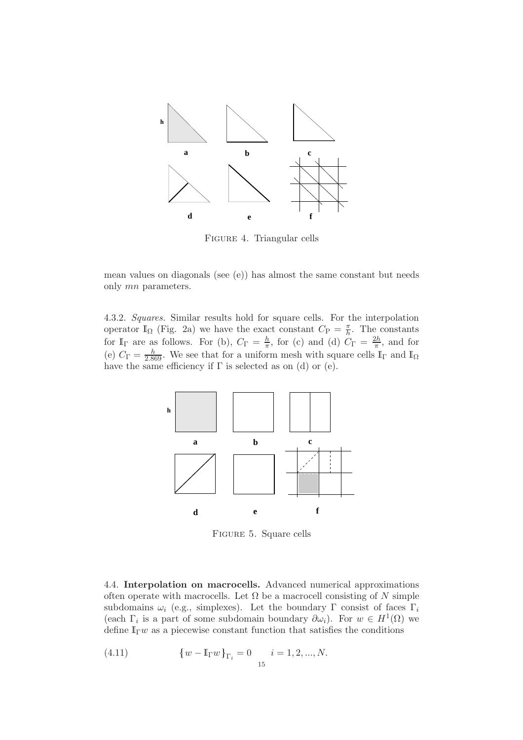

FIGURE 4. Triangular cells

mean values on diagonals (see (e)) has almost the same constant but needs only mn parameters.

4.3.2. Squares. Similar results hold for square cells. For the interpolation operator  $\mathbb{I}_{\Omega}$  (Fig. 2a) we have the exact constant  $C_{\rm P} = \frac{\pi}{h}$  $\frac{\pi}{h}$ . The constants for  $\mathbb{I}_{\Gamma}$  are as follows. For (b),  $C_{\Gamma} = \frac{h}{\pi}$  $\frac{h}{\pi}$ , for (c) and (d)  $C_{\Gamma} = \frac{2h}{\pi}$  $\frac{2n}{\pi}$ , and for (e)  $C_{\Gamma} = \frac{h}{2.869}$ . We see that for a uniform mesh with square cells  $\mathbb{I}_{\Gamma}$  and  $\mathbb{I}_{\Omega}$ have the same efficiency if  $\Gamma$  is selected as on (d) or (e).



Figure 5. Square cells

4.4. Interpolation on macrocells. Advanced numerical approximations often operate with macrocells. Let  $\Omega$  be a macrocell consisting of N simple subdomains  $\omega_i$  (e.g., simplexes). Let the boundary Γ consist of faces Γ<sub>i</sub> (each  $\Gamma_i$  is a part of some subdomain boundary  $\partial \omega_i$ ). For  $w \in H^1(\Omega)$  we define  $\mathbb{I}_{\Gamma} w$  as a piecewise constant function that satisfies the conditions

(4.11) 
$$
\{w - \mathbb{I}_{\Gamma}w\}_{\Gamma_i} = 0 \t i = 1, 2, ..., N.
$$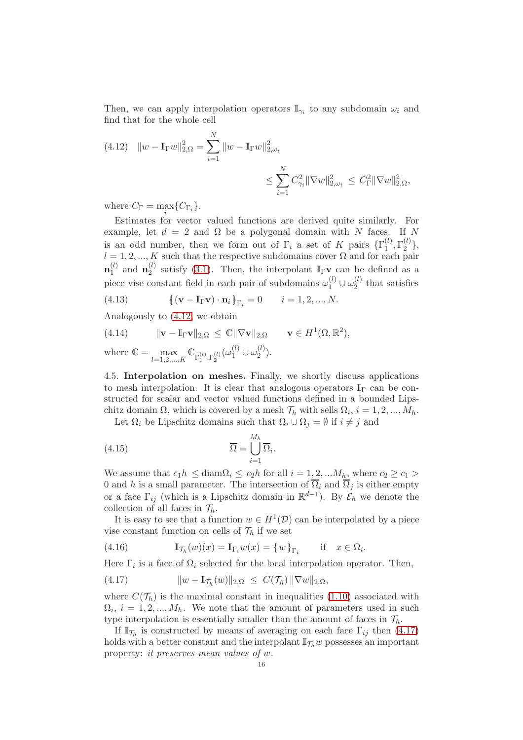Then, we can apply interpolation operators  $\mathbb{I}_{\gamma_i}$  to any subdomain  $\omega_i$  and find that for the whole cell

<span id="page-15-0"></span>(4.12) 
$$
||w - \mathbb{I}_{\Gamma}w||_{2,\Omega}^2 = \sum_{i=1}^N ||w - \mathbb{I}_{\Gamma}w||_{2,\omega_i}^2
$$
  

$$
\leq \sum_{i=1}^N C_{\gamma_i}^2 ||\nabla w||_{2,\omega_i}^2 \leq C_{\Gamma}^2 ||\nabla w||_{2,\Omega}^2,
$$

where  $C_{\Gamma} = \max_i \{ C_{\Gamma_i} \}.$ 

Estimates for vector valued functions are derived quite similarly. For example, let  $d = 2$  and  $\Omega$  be a polygonal domain with N faces. If N is an odd number, then we form out of  $\Gamma_i$  a set of K pairs  $\{\Gamma_1^{(l)}\}$  $_{1}^{(l)},\Gamma _{2}^{(l)}$  $\begin{matrix} \binom{U}{2} \end{matrix}$  $l = 1, 2, ..., K$  such that the respective subdomains cover  $\Omega$  and for each pair  $\mathbf{n}^{(l)}_1$  $_1^{(l)}$  and  $\mathbf{n}_2^{(l)}$  $\binom{l}{2}$  satisfy [\(3.1\)](#page-7-2). Then, the interpolant  $\mathbb{I}_{\Gamma}$ **v** can be defined as a piece vise constant field in each pair of subdomains  $\omega_1^{(l)} \cup \omega_2^{(l)}$  $2^{(t)}$  that satisfies (4.13)  $\{(\mathbf{v} - \mathbb{I}_{\Gamma}\mathbf{v}) \cdot \mathbf{n}_i\}_{\Gamma_i} = 0 \quad i = 1, 2, ..., N.$ 

$$
\begin{array}{cccc}\n\left(\sqrt{1-\frac{1}{2}}\right) & \text{if } \sqrt{1-\frac{1}{2}} \\
\text{if } \sqrt{1-\frac{1}{2}} & \text{if } \sqrt{1-\frac{1}{2}}\n\end{array}
$$

Analogously to [\(4.12,](#page-15-0) we obtain

<span id="page-15-2"></span>(4.14) 
$$
\|\mathbf{v} - \mathbb{I}_{\Gamma}\mathbf{v}\|_{2,\Omega} \leq \mathbb{C} \|\nabla \mathbf{v}\|_{2,\Omega} \qquad \mathbf{v} \in H^1(\Omega,\mathbb{R}^2),
$$

where 
$$
\mathbb{C} = \max_{l=1,2,\dots,K} \mathbb{C}_{\Gamma_1^{(l)},\Gamma_2^{(l)}}(\omega_1^{(l)} \cup \omega_2^{(l)})
$$
.

4.5. Interpolation on meshes. Finally, we shortly discuss applications to mesh interpolation. It is clear that analogous operators  $\mathbb{I}_{\Gamma}$  can be constructed for scalar and vector valued functions defined in a bounded Lipschitz domain  $\Omega$ , which is covered by a mesh  $\mathcal{T}_h$  with sells  $\Omega_i$ ,  $i = 1, 2, ..., M_h$ .

Let  $\Omega_i$  be Lipschitz domains such that  $\Omega_i \cup \Omega_j = \emptyset$  if  $i \neq j$  and

(4.15) 
$$
\overline{\Omega} = \bigcup_{i=1}^{M_h} \overline{\Omega}_i.
$$

We assume that  $c_1h \leq \text{diam}_{\Omega_i} \leq c_2h$  for all  $i = 1, 2, ...M_h$ , where  $c_2 \geq c_1 >$ 0 and h is a small parameter. The intersection of  $\overline{\Omega}_i$  and  $\overline{\Omega}_j$  is either empty or a face  $\Gamma_{ij}$  (which is a Lipschitz domain in  $\mathbb{R}^{d-1}$ ). By  $\mathcal{E}_h$  we denote the collection of all faces in  $\mathcal{T}_h$ .

It is easy to see that a function  $w \in H^1(\mathcal{D})$  can be interpolated by a piece vise constant function on cells of  $\mathcal{T}_h$  if we set

(4.16) 
$$
\mathbb{I}_{\mathcal{T}_h}(w)(x) = \mathbb{I}_{\Gamma_i} w(x) = \{w\}_{\Gamma_i} \quad \text{if} \quad x \in \Omega_i.
$$

Here  $\Gamma_i$  is a face of  $\Omega_i$  selected for the local interpolation operator. Then,

<span id="page-15-1"></span>(4.17) 
$$
\|w - \mathbb{I}_{\mathcal{T}_h}(w)\|_{2,\Omega} \leq C(\mathcal{T}_h) \|\nabla w\|_{2,\Omega},
$$

where  $C(\mathcal{T}_h)$  is the maximal constant in inequalities [\(1.10\)](#page-1-1) associated with  $\Omega_i$ ,  $i = 1, 2, ..., M_h$ . We note that the amount of parameters used in such type interpolation is essentially smaller than the amount of faces in  $\mathcal{T}_h$ .

If  $\mathbb{I}_{\mathcal{T}_h}$  is constructed by means of averaging on each face  $\Gamma_{ij}$  then [\(4.17\)](#page-15-1) holds with a better constant and the interpolant  $\mathbb{I}_{\mathcal{T}_h} w$  possesses an important property: it preserves mean values of w.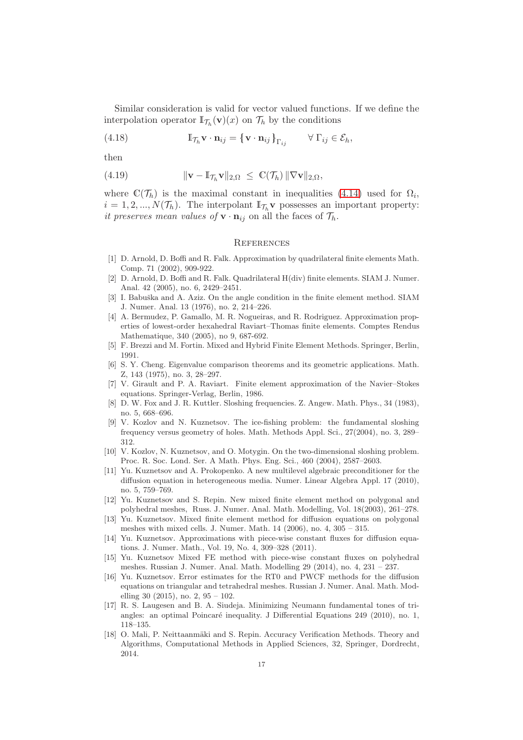Similar consideration is valid for vector valued functions. If we define the interpolation operator  $\mathbb{I}_{\mathcal{T}_h}(\mathbf{v})(x)$  on  $\mathcal{T}_h$  by the conditions

(4.18) 
$$
\mathbb{I}_{\mathcal{T}_h} \mathbf{v} \cdot \mathbf{n}_{ij} = {\mathbf{v} \cdot \mathbf{n}_{ij}}_{\Gamma_{ij}} \qquad \forall \Gamma_{ij} \in \mathcal{E}_h,
$$

then

(4.19) 
$$
\|\mathbf{v} - \mathbb{I}\tau_h \mathbf{v}\|_{2,\Omega} \leq \mathbb{C}(\mathcal{T}_h) \|\nabla \mathbf{v}\|_{2,\Omega},
$$

where  $\mathbb{C}(\mathcal{T}_h)$  is the maximal constant in inequalities [\(4.14\)](#page-15-2) used for  $\Omega_i$ ,  $i = 1, 2, ..., N(\mathcal{T}_h)$ . The interpolant  $\mathbb{I}_{\mathcal{T}_h}$  v possesses an important property: it preserves mean values of  $\mathbf{v} \cdot \mathbf{n}_{ij}$  on all the faces of  $\mathcal{T}_h$ .

#### **REFERENCES**

- <span id="page-16-8"></span>[1] D. Arnold, D. Boffi and R. Falk. Approximation by quadrilateral finite elements Math. Comp. 71 (2002), 909-922.
- <span id="page-16-9"></span>[2] D. Arnold, D. Boffi and R. Falk. Quadrilateral H(div) finite elements. SIAM J. Numer. Anal. 42 (2005), no. 6, 2429–2451.
- <span id="page-16-5"></span>[3] I. Babuška and A. Aziz. On the angle condition in the finite element method. SIAM J. Numer. Anal. 13 (1976), no. 2, 214–226.
- <span id="page-16-10"></span>[4] A. Bermudez, P. Gamallo, M. R. Nogueiras, and R. Rodriguez. Approximation properties of lowest-order hexahedral Raviart–Thomas finite elements. Comptes Rendus Mathematique, 340 (2005), no 9, 687-692.
- <span id="page-16-7"></span><span id="page-16-0"></span>[5] F. Brezzi and M. Fortin. Mixed and Hybrid Finite Element Methods. Springer, Berlin, 1991.
- [6] S. Y. Cheng. Eigenvalue comparison theorems and its geometric applications. Math. Z, 143 (1975), no. 3, 28–297.
- <span id="page-16-11"></span>[7] V. Girault and P. A. Raviart. Finite element approximation of the Navier–Stokes equations. Springer-Verlag, Berlin, 1986.
- <span id="page-16-2"></span>[8] D. W. Fox and J. R. Kuttler. Sloshing frequencies. Z. Angew. Math. Phys., 34 (1983), no. 5, 668–696.
- <span id="page-16-3"></span>[9] V. Kozlov and N. Kuznetsov. The ice-fishing problem: the fundamental sloshing frequency versus geometry of holes. Math. Methods Appl. Sci., 27(2004), no. 3, 289– 312.
- <span id="page-16-4"></span>[10] V. Kozlov, N. Kuznetsov, and O. Motygin. On the two-dimensional sloshing problem. Proc. R. Soc. Lond. Ser. A Math. Phys. Eng. Sci., 460 (2004), 2587–2603.
- <span id="page-16-12"></span>[11] Yu. Kuznetsov and A. Prokopenko. A new multilevel algebraic preconditioner for the diffusion equation in heterogeneous media. Numer. Linear Algebra Appl. 17 (2010), no. 5, 759–769.
- <span id="page-16-13"></span>[12] Yu. Kuznetsov and S. Repin. New mixed finite element method on polygonal and polyhedral meshes, Russ. J. Numer. Anal. Math. Modelling, Vol. 18(2003), 261–278.
- <span id="page-16-14"></span>[13] Yu. Kuznetsov. Mixed finite element method for diffusion equations on polygonal meshes with mixed cells. J. Numer. Math. 14 (2006), no. 4, 305 – 315.
- <span id="page-16-15"></span>[14] Yu. Kuznetsov. Approximations with piece-wise constant fluxes for diffusion equations. J. Numer. Math., Vol. 19, No. 4, 309–328 (2011).
- <span id="page-16-16"></span>[15] Yu. Kuznetsov Mixed FE method with piece-wise constant fluxes on polyhedral meshes. Russian J. Numer. Anal. Math. Modelling 29 (2014), no. 4, 231 – 237.
- <span id="page-16-17"></span>[16] Yu. Kuznetsov. Error estimates for the RT0 and PWCF methods for the diffusion equations on triangular and tetrahedral meshes. Russian J. Numer. Anal. Math. Modelling 30 (2015), no. 2,  $95 - 102$ .
- <span id="page-16-1"></span>[17] R. S. Laugesen and B. A. Siudeja. Minimizing Neumann fundamental tones of triangles: an optimal Poincaré inequality. J Differential Equations 249 (2010), no. 1, 118–135.
- <span id="page-16-6"></span>[18] O. Mali, P. Neittaanmäki and S. Repin. Accuracy Verification Methods. Theory and Algorithms, Computational Methods in Applied Sciences, 32, Springer, Dordrecht, 2014.